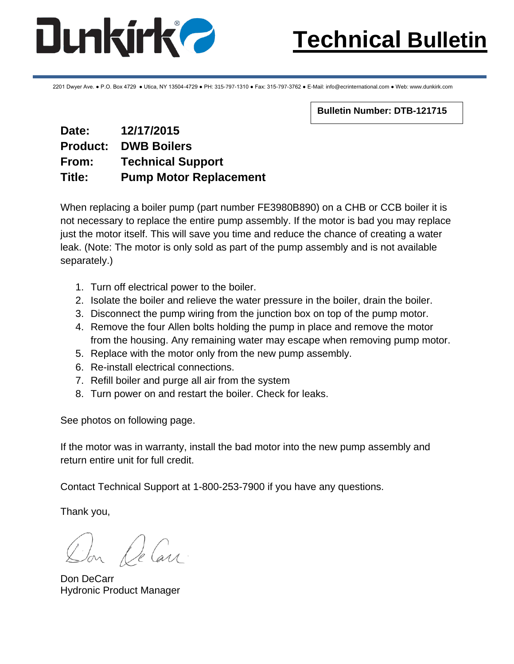

2201 Dwyer Ave. ● P.O. Box 4729 ● Utica, NY 13504-4729 ● PH: 315-797-1310 ● Fax: 315-797-3762 ● E-Mail: info@ecrinternational.com ● Web: www.dunkirk.com

**Bulletin Number: DTB-121715**

### **Date: 12/17/2015 Product: DWB Boilers From: Technical Support Title: Pump Motor Replacement**

When replacing a boiler pump (part number FE3980B890) on a CHB or CCB boiler it is not necessary to replace the entire pump assembly. If the motor is bad you may replace just the motor itself. This will save you time and reduce the chance of creating a water leak. (Note: The motor is only sold as part of the pump assembly and is not available separately.)

- 1. Turn off electrical power to the boiler.
- 2. Isolate the boiler and relieve the water pressure in the boiler, drain the boiler.
- 3. Disconnect the pump wiring from the junction box on top of the pump motor.
- 4. Remove the four Allen bolts holding the pump in place and remove the motor from the housing. Any remaining water may escape when removing pump motor.
- 5. Replace with the motor only from the new pump assembly.
- 6. Re-install electrical connections.
- 7. Refill boiler and purge all air from the system
- 8. Turn power on and restart the boiler. Check for leaks.

See photos on following page.

If the motor was in warranty, install the bad motor into the new pump assembly and return entire unit for full credit.

Contact Technical Support at 1-800-253-7900 if you have any questions.

Thank you,

Don De Carr

Don DeCarr Hydronic Product Manager